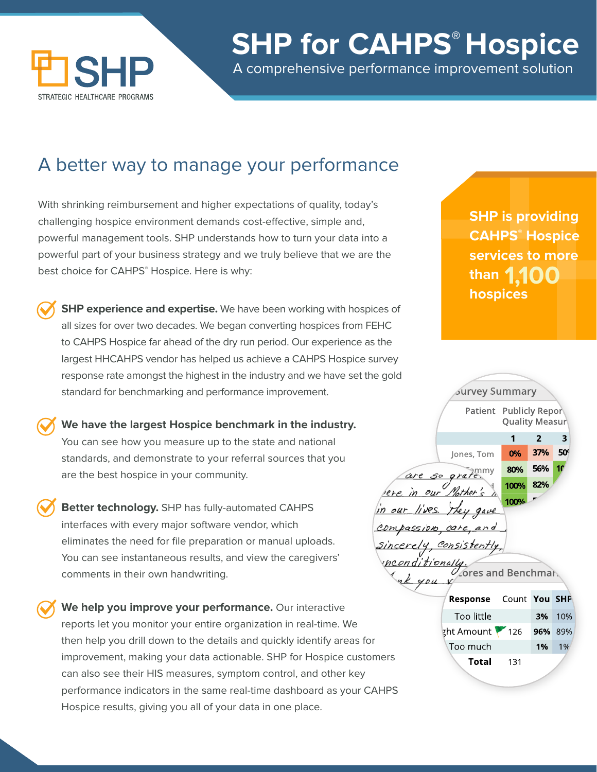

## **SHP for CAHPS® Hospice**

A comprehensive performance improvement solution

### A better way to manage your performance

With shrinking reimbursement and higher expectations of quality, today's challenging hospice environment demands cost-effective, simple and, powerful management tools. SHP understands how to turn your data into a powerful part of your business strategy and we truly believe that we are the best choice for CAHPS® Hospice. Here is why:

**SHP experience and expertise.** We have been working with hospices of all sizes for over two decades. We began converting hospices from FEHC to CAHPS Hospice far ahead of the dry run period. Our experience as the largest HHCAHPS vendor has helped us achieve a CAHPS Hospice survey response rate amongst the highest in the industry and we have set the gold standard for benchmarking and performance improvement.

**We have the largest Hospice benchmark in the industry.** You can see how you measure up to the state and national standards, and demonstrate to your referral sources that you are the best hospice in your community.

**Better technology.** SHP has fully-automated CAHPS interfaces with every major software vendor, which eliminates the need for file preparation or manual uploads. You can see instantaneous results, and view the caregivers' comments in their own handwriting.

**prov**<br>Intro **We help you improve your performance.** Our interactive reports let you monitor your entire organization in real-time. We then help you drill down to the details and quickly identify areas for improvement, making your data actionable. SHP for Hospice customers can also see their HIS measures, symptom control, and other key performance indicators in the same real-time dashboard as your CAHPS Hospice results, giving you all of your data in one place.

**SHP is providing CAHPS® Hospice services to more than hospices 1,100**

| ⊃                                             |                               |       |                                          |            |  |
|-----------------------------------------------|-------------------------------|-------|------------------------------------------|------------|--|
|                                               | <b>Survey Summary</b>         |       |                                          |            |  |
|                                               |                               |       | Patient Publicly Repor<br>Quality Measur |            |  |
|                                               |                               | 1     | $\overline{2}$                           | 3          |  |
|                                               | Jones, Tom                    | 0%    | 37%                                      | 50         |  |
|                                               | are so grate                  | 80%   | 56%                                      | 10         |  |
| ere in our Mother's ?                         |                               | 100%  | 82%                                      |            |  |
|                                               |                               | 100%  |                                          |            |  |
| in our lives. They gave                       |                               |       |                                          |            |  |
| compassion, care, and                         |                               |       |                                          |            |  |
| Sincerely, Consistently,                      |                               |       |                                          |            |  |
|                                               |                               |       |                                          |            |  |
| the <i>onditionally</i><br>fores and Benchman |                               |       |                                          |            |  |
|                                               |                               |       |                                          |            |  |
|                                               | Response                      | Count | You                                      | <b>SHP</b> |  |
|                                               | Too little                    |       | 3%                                       | 10%        |  |
|                                               | $\frac{1}{2}$ ht Amount \ 126 |       | 96%                                      | 89%        |  |
|                                               | Too much                      |       | 1%                                       | 1%         |  |
| ners                                          | Total                         | 131   |                                          |            |  |
|                                               |                               |       |                                          |            |  |
| $\sqrt{11}$                                   |                               |       |                                          |            |  |